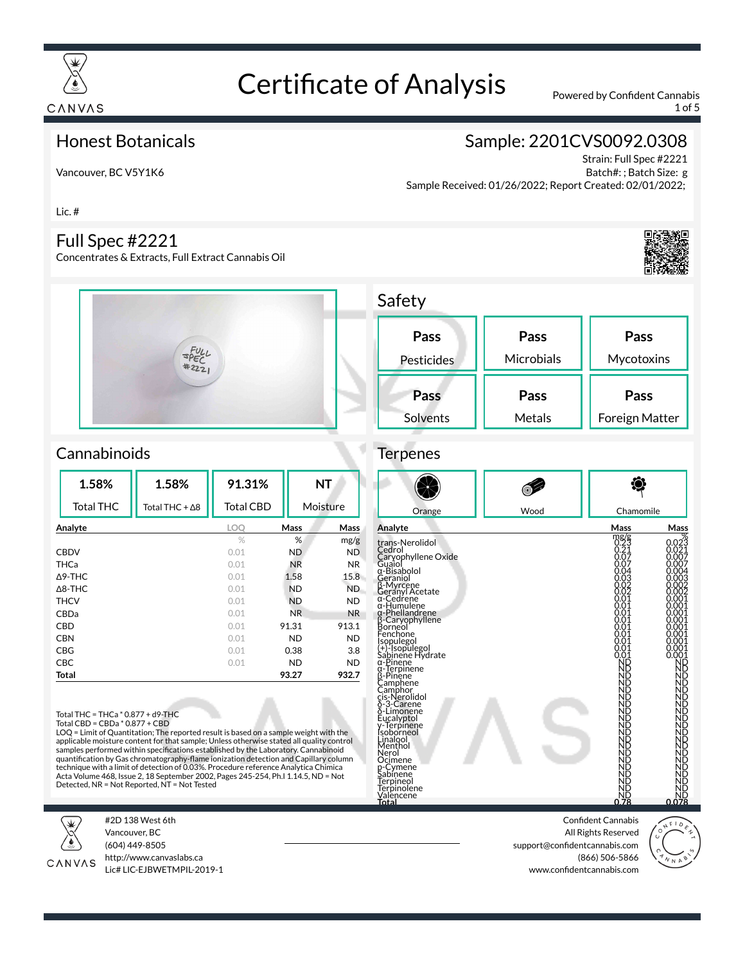

Lic. #

# Certificate of Analysis Powered by Confident Cannabis

1 of 5

### Honest Botanicals

Vancouver, BC V5Y1K6

Full Spec #2221

Concentrates & Extracts, Full Extract Cannabis Oil

# Sample: 2201CVS0092.0308

Strain: Full Spec #2221 Batch#: ; Batch Size: g Sample Received: 01/26/2022; Report Created: 02/01/2022;



### **Cannabinoids**

| 1.58%             | 1.58%                  | 91.31%           |             | <b>NT</b> |
|-------------------|------------------------|------------------|-------------|-----------|
| <b>Total THC</b>  | Total THC + $\Delta$ 8 | <b>Total CBD</b> |             | Moisture  |
| Analyte           |                        | LOO              | <b>Mass</b> | Mass      |
|                   |                        | $\%$             | %           | mg/g      |
| <b>CBDV</b>       |                        | 0.01             | ND          | <b>ND</b> |
| THCa              |                        | 0.01             | <b>NR</b>   | NR.       |
| $\triangle$ 9-THC |                        | 0.01             | 1.58        | 15.8      |
| $\triangle$ 8-THC |                        | 0.01             | <b>ND</b>   | ND.       |
| <b>THCV</b>       |                        | 0.01             | <b>ND</b>   | <b>ND</b> |
| CBDa              |                        | 0.01             | NR.         | <b>NR</b> |
| CBD               |                        | 0.01             | 91.31       | 913.1     |
| <b>CBN</b>        |                        | 0.01             | ND          | <b>ND</b> |
| CBG               |                        | 0.01             | 0.38        | 3.8       |
| <b>CBC</b>        |                        | 0.01             | ND          | <b>ND</b> |
| Total             |                        |                  | 93.27       | 932.7     |

Total THC = THCa \* 0.877 + d9-THC Total CBD = CBDa \* 0.877 + CBD

LOQ = Limit of Quantitation; The reported result is based on a sample weight with the applicable moisture content for that sample; Unless otherwise stated all quality control<br>samples performed within specifications established by the Laboratory. Cannabinoid<br>quantification by Gas chromatography-flame ionizat technique with a limit of detection of 0.03%. Procedure reference Analytica Chimica Acta Volume 468, Issue 2, 18 September 2002, Pages 245-254, Ph.I 1.14.5, ND = Not Detected, NR = Not Reported, NT = Not Tested



#2D 138 West 6th Vancouver, BC (604) 449-8505



http://www.canvaslabs.ca Lic# LIC-EJBWETMPIL-2019-1

| Safety     |            |                |
|------------|------------|----------------|
| Pass       | Pass       | Pass           |
| Pesticides | Microbials | Mycotoxins     |
| Pass       | Pass       | Pass           |
| Solvents   | Metals     | Foreign Matter |

# **Terpenes**



| Analyte                                                                                                                                                                                                                                                                                                                                                                                                                                                                                                                    | Mass                                                                                                                                                                                                                                                       | Mass                                                                                                                                                                                                                     |
|----------------------------------------------------------------------------------------------------------------------------------------------------------------------------------------------------------------------------------------------------------------------------------------------------------------------------------------------------------------------------------------------------------------------------------------------------------------------------------------------------------------------------|------------------------------------------------------------------------------------------------------------------------------------------------------------------------------------------------------------------------------------------------------------|--------------------------------------------------------------------------------------------------------------------------------------------------------------------------------------------------------------------------|
| trans-Nerolidol<br>Cedrol<br>Caryophyllene Oxide<br>Guaiol<br>α-Bisabolol<br>Geraniol<br>β-Myrcene<br>Geranyl Acetate<br>α-Cedrene<br>α-Humulene<br>α-Phellandrene<br>α-Pienanurene<br>Borneol<br>Borneol<br>Fenchone<br>Fenchone<br>Ga-Pinene<br>Sabinene Hydrate<br>α-Pinene<br>u-Pinene<br>G-Terpinene<br>B-Pinene<br>Camphor<br>Cis-Nerolidol<br>Cis-Nerpinene<br>J-Terpinene<br>Lunahol<br>Linahol<br>Mantol<br>Menthol<br>Nerol<br>Ocimene<br>p-Cymene<br>Sabinene<br>Terpineol<br>Terpinolene<br>Valencene<br>Total | 0.25<br>$0.21$<br>$0.07$<br>0.07<br>0.04<br>0.03<br>0.02<br>0.02<br>0.01<br>0.01<br>0.01<br>0.OT<br>0.01<br>0.01<br>0.01<br>0.01<br>ŏ.ŏ1<br>ND<br>ND<br>NĎ<br>ND<br>ND<br>ŃĎ<br>ÑĎ<br>nd<br>ND<br>ND<br>ND<br>ND<br>ND<br>NB<br>NB<br>ND<br>ŃĎ<br>ND<br>ND | 0.023<br>$0.021$<br>$0.007$<br>$0.007$<br>0.004<br>0.003<br>0.002<br>0.002<br>0.001<br>0.001<br>0.001<br>0.001<br>0.001<br>0.001<br>0.001<br>0.001<br>0.001<br>ÑĎ<br>ZZZZZZZZZZZZZZZZZZ<br>DDDDDDDDDDDDDDDD<br><u>NĎ</u> |
|                                                                                                                                                                                                                                                                                                                                                                                                                                                                                                                            | dk<br>850                                                                                                                                                                                                                                                  | 0.078                                                                                                                                                                                                                    |

Confident Cannabis All Rights Reserved support@confidentcannabis.com (866) 506-5866 www.confidentcannabis.com

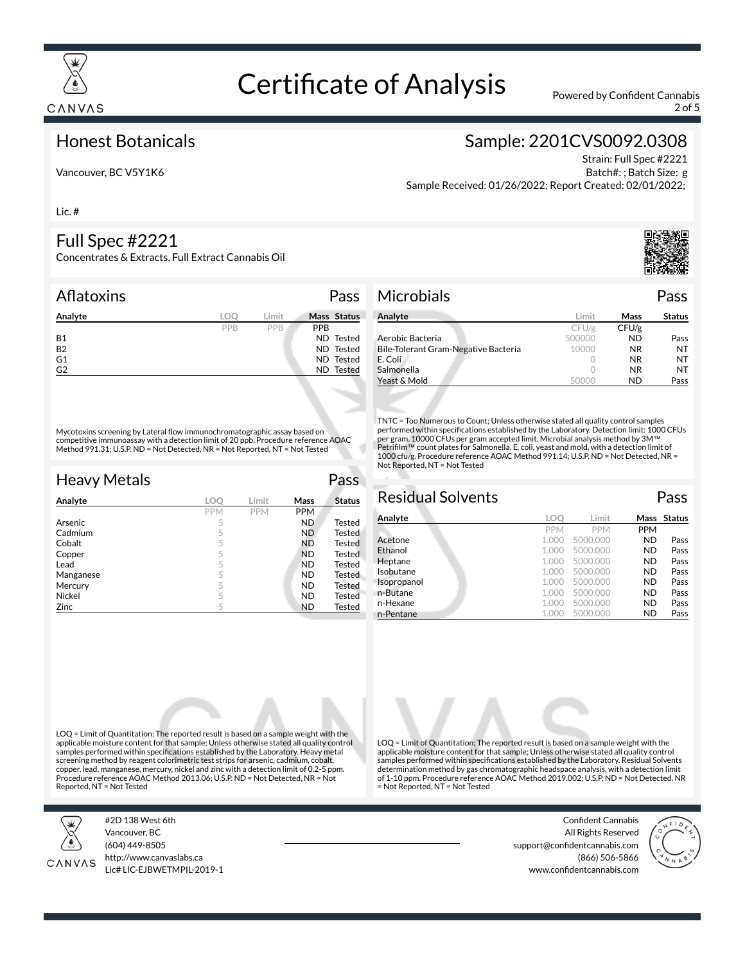

2 of 5

#### Honest Botanicals

Vancouver, BC V5Y1K6

## Sample: 2201CVS0092.0308

Strain: Full Spec #2221 Batch#: ; Batch Size: g Sample Received: 01/26/2022; Report Created: 02/01/2022;

Lic. #

### Full Spec #2221

Concentrates & Extracts, Full Extract Cannabis Oil

#### Aflatoxins **Pass**

| Analyte        | LOC | Limit |            | Mass Status |
|----------------|-----|-------|------------|-------------|
|                | PPB | PPB   | <b>PPB</b> |             |
| <b>B1</b>      |     |       |            | ND Tested   |
| <b>B2</b>      |     |       |            | ND Tested   |
| G <sub>1</sub> |     |       |            | ND Tested   |
| G <sub>2</sub> |     |       |            | ND Tested   |

Mycotoxins screening by Lateral flow immunochromatographic assay based on competitive immunoassay with a detection limit of 20 ppb. Procedure reference AOAC Method 991.31; U.S.P. ND = Not Detected, NR = Not Reported, NT = Not Tested

| <b>Heavy Metals</b> |            |            |            | Pass          |
|---------------------|------------|------------|------------|---------------|
| Analyte             | LOC        | Limit      | Mass       | <b>Status</b> |
|                     | <b>PPM</b> | <b>PPM</b> | <b>PPM</b> |               |
| Arsenic             | 5          |            | ND.        | <b>Tested</b> |
| Cadmium             | 5          |            | ND.        | <b>Tested</b> |
| Cobalt              | 5          |            | <b>ND</b>  | <b>Tested</b> |
| Copper              | 5          |            | <b>ND</b>  | Tested        |
| Lead                | 5          |            | <b>ND</b>  | <b>Tested</b> |
| Manganese           | 5          |            | ND.        | Tested        |
| Mercury             | 5          |            | <b>ND</b>  | <b>Tested</b> |
| Nickel              | 5          |            | <b>ND</b>  | Tested        |
| Zinc                | 5          |            | <b>ND</b>  | Tested        |

| Analyte                              | Limit             | Mass  | <b>Status</b> |
|--------------------------------------|-------------------|-------|---------------|
|                                      | CFU/g             | CFU/g |               |
| Aerobic Bacteria                     | 500000            | ND.   | Pass          |
| Bile-Tolerant Gram-Negative Bacteria | 10000             | NR.   | NT            |
| E. Coli                              |                   | NR.   | NT            |
| Salmonella                           |                   | NR.   | NT            |
| Yeast & Mold                         | 1000 <sup>1</sup> | ND.   | Pass          |

TNTC = Too Numerous to Count; Unless otherwise stated all quality control samples performed within specifications established by the Laboratory. Detection limit: 1000 CFUs per gram. 10000 CFUs per gram accepted limit. Microbial analysis method by 3M™<br>Petrifilm™ count plates for Salmonella, E. coli, yeast and mold, with a detection limit of 1000 cfu/g. Procedure reference AOAC Method 991.14; U.S.P. ND = Not Detected, NR = Not Reported, NT = Not Tested

#### Residual Solvents Pass **Analyte LOQ Limit Mass Status** PPM PPM PPM<br>1.000 5000.000 ND Acetone 1.000 5000.000 ND Pass **Ethanol 1.000 5000.000 ND Pass Heptane 1.000 5000.000 ND Pass Isobutane 1.000 5000.000 ND Pass**<br>**Isopropanol** 1.000 5000.000 **ND Pass** Isopropanol n-Butane 1.000 5000.000 **ND** Pass n-Hexane 1.000 5000.000 **ND** Pass n-Pentane 1.000 5000.000 ND Pass

LOQ = Limit of Quantitation; The reported result is based on a sample weight with the applicable moisture content for that sample; Unless otherwise stated all quality control samples performed within specifications established by the Laboratory. Residual Solvents determination method by gas chromatographic headspace analysis, with a detection limit of 1-10 ppm. Procedure reference AOAC Method 2019.002; U.S.P, ND = Not Detected, NR

= Not Reported, NT = Not Tested

LOQ = Limit of Quantitation; The reported result is based on a sample weight with the applicable moisture content for that sample; Unless otherwise stated all quality control samples performed within specifications established by the Laboratory. Heavy metal screening method by reagent colorimetric test strips for arsenic, cadmium, cobalt, copper, lead, manganese, mercury, nickel and zinc with a detection limit of 0.2-5 ppm. Procedure reference AOAC Method 2013.06; U.S.P. ND = Not Detected, NR = Not Reported, NT = Not Tested



#2D 138 West 6th Vancouver, BC (604) 449-8505



http://www.canvaslabs.ca Lic# LIC-EJBWETMPIL-2019-1

Confident Cannabis All Rights Reserved support@confidentcannabis.com (866) 506-5866 www.confidentcannabis.com



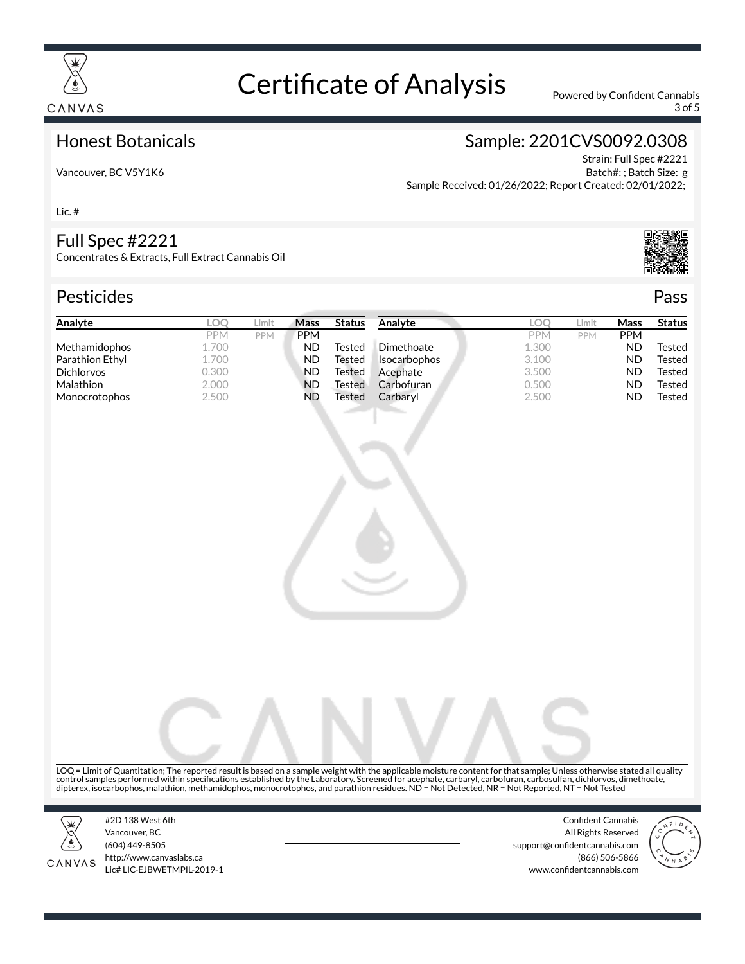

3 of 5

### Honest Botanicals

# Sample: 2201CVS0092.0308

Strain: Full Spec #2221 Batch#: ; Batch Size: g Sample Received: 01/26/2022; Report Created: 02/01/2022;

Lic. #

#### Full Spec #2221

Vancouver, BC V5Y1K6

Concentrates & Extracts, Full Extract Cannabis Oil

# Pesticides **Passage Contract Contract Contract Contract Contract Contract Contract Contract Contract Contract Contract Contract Contract Contract Contract Contract Contract Contract Contract Contract Contract Contract Cont**



| Analyte              | LOC        | Limit      | <b>Mass</b> | <b>Status</b> | Analyte             | LOC        | Limit      | Mass       | <b>Status</b> |
|----------------------|------------|------------|-------------|---------------|---------------------|------------|------------|------------|---------------|
|                      | <b>PPM</b> | <b>PPM</b> | <b>PPM</b>  |               |                     | <b>PPM</b> | <b>PPM</b> | <b>PPM</b> |               |
| <b>Methamidophos</b> | 1.700      |            | ND          | Tested        | Dimethoate          | 1.300      |            | <b>ND</b>  | Tested        |
| Parathion Ethyl      | 1.700      |            | ND          | Tested        | <b>Isocarbophos</b> | 3.100      |            | <b>ND</b>  | Tested        |
| <b>Dichlorvos</b>    | 0.300      |            | ND          | Tested        | Acephate            | 3.500      |            | <b>ND</b>  | Tested        |
| <b>Malathion</b>     | 2.000      |            | <b>ND</b>   | Tested        | Carbofuran          | 0.500      |            | <b>ND</b>  | Tested        |
| Monocrotophos        | 2.500      |            | ND          | Tested        | Carbaryl            | 2.500      |            | ND         | Tested        |
|                      |            |            |             |               |                     |            |            |            |               |

LOQ = Limit of Quantitation; The reported result is based on a sample weight with the applicable moisture content for that sample; Unless otherwise stated all quality control samples performed within specifications established by the Laboratory. Screened for acephate, carbaryl, carbofuran, carbosulfan, dichlorvos, dimethoate,<br>dipterex, isocarbophos, malathion, methamidophos, monocrotoph



CANVAS

#2D 138 West 6th Vancouver, BC (604) 449-8505 http://www.canvaslabs.ca Lic# LIC-EJBWETMPIL-2019-1

Confident Cannabis All Rights Reserved support@confidentcannabis.com (866) 506-5866 www.confidentcannabis.com

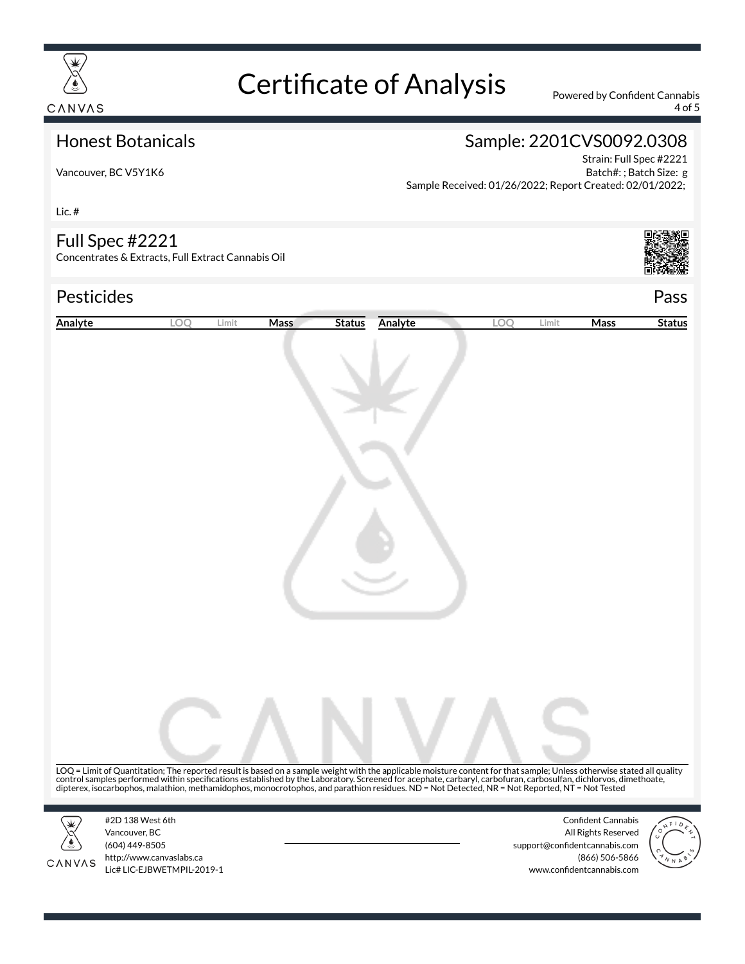

4 of 5

### Honest Botanicals

# Sample: 2201CVS0092.0308

Vancouver, BC V5Y1K6

Strain: Full Spec #2221 Batch#: ; Batch Size: g Sample Received: 01/26/2022; Report Created: 02/01/2022;

Lic. #

#### Full Spec #2221

Concentrates & Extracts, Full Extract Cannabis Oil

### Pesticides Pass



| Analyte | LOO                                                                                                                                                                                                                                                                                                                                                                                                      | Limit | Mass | <b>Status</b> | Analyte | LOQ | Limit | Mass                                                 | <b>Status</b> |
|---------|----------------------------------------------------------------------------------------------------------------------------------------------------------------------------------------------------------------------------------------------------------------------------------------------------------------------------------------------------------------------------------------------------------|-------|------|---------------|---------|-----|-------|------------------------------------------------------|---------------|
|         |                                                                                                                                                                                                                                                                                                                                                                                                          |       |      |               |         |     |       |                                                      |               |
|         |                                                                                                                                                                                                                                                                                                                                                                                                          |       |      |               |         |     |       |                                                      |               |
|         |                                                                                                                                                                                                                                                                                                                                                                                                          |       |      |               |         |     |       |                                                      |               |
|         |                                                                                                                                                                                                                                                                                                                                                                                                          |       |      |               |         |     |       |                                                      |               |
|         |                                                                                                                                                                                                                                                                                                                                                                                                          |       |      |               |         |     |       |                                                      |               |
|         |                                                                                                                                                                                                                                                                                                                                                                                                          |       |      |               |         |     |       |                                                      |               |
|         |                                                                                                                                                                                                                                                                                                                                                                                                          |       |      |               |         |     |       |                                                      |               |
|         |                                                                                                                                                                                                                                                                                                                                                                                                          |       |      |               |         |     |       |                                                      |               |
|         |                                                                                                                                                                                                                                                                                                                                                                                                          |       |      |               |         |     |       |                                                      |               |
|         |                                                                                                                                                                                                                                                                                                                                                                                                          |       |      |               |         |     |       |                                                      |               |
|         |                                                                                                                                                                                                                                                                                                                                                                                                          |       |      |               |         |     |       |                                                      |               |
|         |                                                                                                                                                                                                                                                                                                                                                                                                          |       |      |               |         |     |       |                                                      |               |
|         |                                                                                                                                                                                                                                                                                                                                                                                                          |       |      |               |         |     |       |                                                      |               |
|         |                                                                                                                                                                                                                                                                                                                                                                                                          |       |      |               |         |     |       |                                                      |               |
|         |                                                                                                                                                                                                                                                                                                                                                                                                          |       |      |               |         |     |       |                                                      |               |
|         |                                                                                                                                                                                                                                                                                                                                                                                                          |       |      |               |         |     |       |                                                      |               |
|         |                                                                                                                                                                                                                                                                                                                                                                                                          |       |      |               |         |     |       |                                                      |               |
|         |                                                                                                                                                                                                                                                                                                                                                                                                          |       |      |               |         |     |       |                                                      |               |
|         |                                                                                                                                                                                                                                                                                                                                                                                                          |       |      |               |         |     |       |                                                      |               |
|         |                                                                                                                                                                                                                                                                                                                                                                                                          |       |      |               |         |     |       |                                                      |               |
|         | LOQ = Limit of Quantitation; The reported result is based on a sample weight with the applicable moisture content for that sample; Unless otherwise stated all quality<br>control samples performed within specifications established by the Laboratory. Screened for acephate, carbaryl, carbofuran, carbosulfan, dichlorvos, dimethoate, dipertex, isocarbophos, malathion, methamidophos, monocrotoph |       |      |               |         |     |       |                                                      |               |
|         |                                                                                                                                                                                                                                                                                                                                                                                                          |       |      |               |         |     |       |                                                      |               |
|         | #2D 138 West 6th                                                                                                                                                                                                                                                                                                                                                                                         |       |      |               |         |     |       | <b>Confident Cannabis</b>                            |               |
|         | Vancouver, BC<br>(604) 449-8505                                                                                                                                                                                                                                                                                                                                                                          |       |      |               |         |     |       | All Rights Reserved<br>support@confidentcannabis.com |               |
| CANVAS  | http://www.canvaslabs.ca<br>Lic# LIC-EJBWETMPIL-2019-1                                                                                                                                                                                                                                                                                                                                                   |       |      |               |         |     |       | (866) 506-5866<br>www.confidentcannabis.com          |               |
|         |                                                                                                                                                                                                                                                                                                                                                                                                          |       |      |               |         |     |       |                                                      |               |